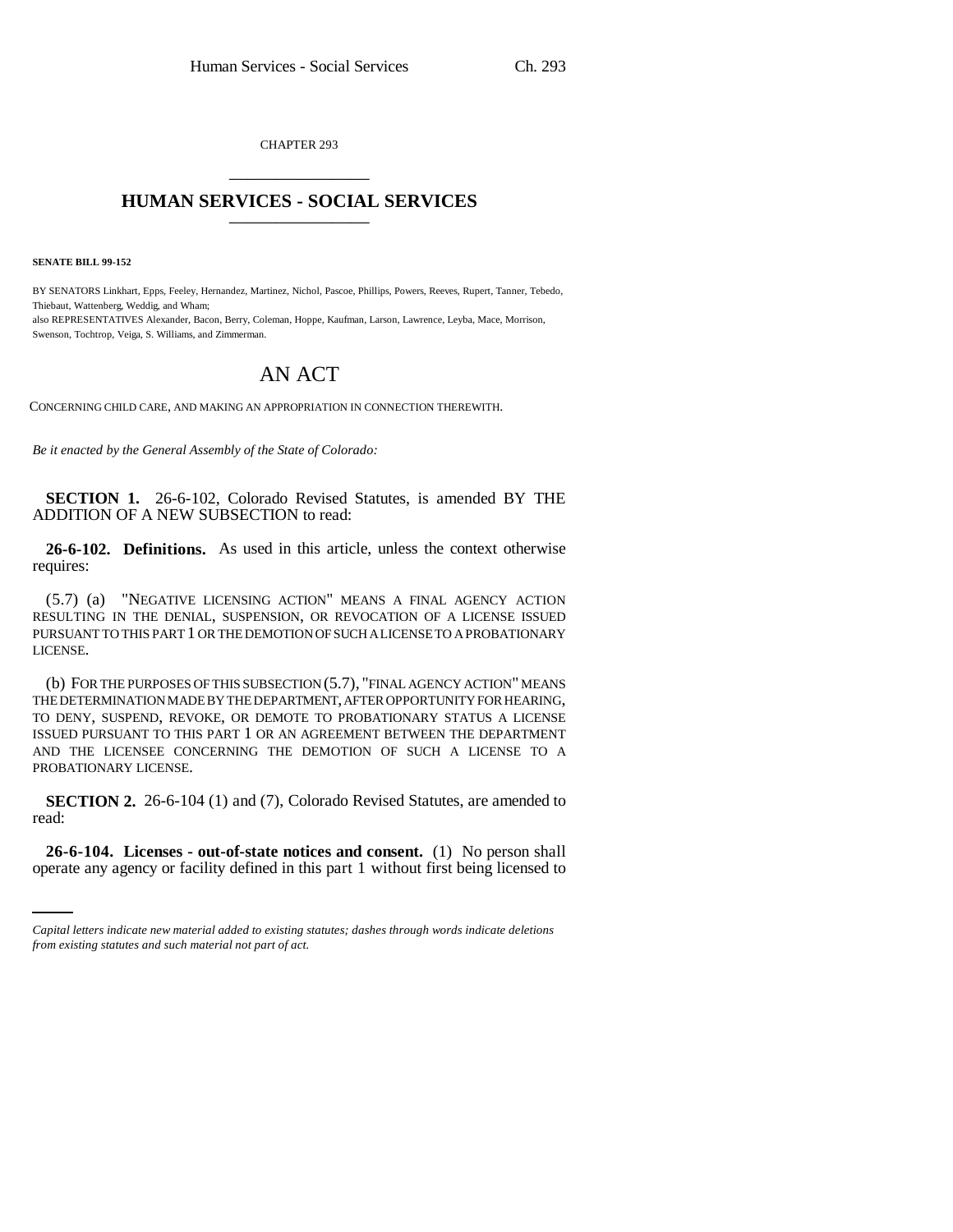CHAPTER 293 \_\_\_\_\_\_\_\_\_\_\_\_\_\_\_

## **HUMAN SERVICES - SOCIAL SERVICES** \_\_\_\_\_\_\_\_\_\_\_\_\_\_\_

**SENATE BILL 99-152**

BY SENATORS Linkhart, Epps, Feeley, Hernandez, Martinez, Nichol, Pascoe, Phillips, Powers, Reeves, Rupert, Tanner, Tebedo, Thiebaut, Wattenberg, Weddig, and Wham; also REPRESENTATIVES Alexander, Bacon, Berry, Coleman, Hoppe, Kaufman, Larson, Lawrence, Leyba, Mace, Morrison, Swenson, Tochtrop, Veiga, S. Williams, and Zimmerman.

## AN ACT

CONCERNING CHILD CARE, AND MAKING AN APPROPRIATION IN CONNECTION THEREWITH.

*Be it enacted by the General Assembly of the State of Colorado:*

**SECTION 1.** 26-6-102, Colorado Revised Statutes, is amended BY THE ADDITION OF A NEW SUBSECTION to read:

**26-6-102. Definitions.** As used in this article, unless the context otherwise requires:

(5.7) (a) "NEGATIVE LICENSING ACTION" MEANS A FINAL AGENCY ACTION RESULTING IN THE DENIAL, SUSPENSION, OR REVOCATION OF A LICENSE ISSUED PURSUANT TO THIS PART 1 OR THE DEMOTION OF SUCH A LICENSE TO A PROBATIONARY LICENSE.

(b) FOR THE PURPOSES OF THIS SUBSECTION (5.7), "FINAL AGENCY ACTION" MEANS THE DETERMINATION MADE BY THE DEPARTMENT, AFTER OPPORTUNITY FOR HEARING, TO DENY, SUSPEND, REVOKE, OR DEMOTE TO PROBATIONARY STATUS A LICENSE ISSUED PURSUANT TO THIS PART 1 OR AN AGREEMENT BETWEEN THE DEPARTMENT AND THE LICENSEE CONCERNING THE DEMOTION OF SUCH A LICENSE TO A PROBATIONARY LICENSE.

**SECTION 2.** 26-6-104 (1) and (7), Colorado Revised Statutes, are amended to read:

**26-6-104. Licenses - out-of-state notices and consent.** (1) No person shall operate any agency or facility defined in this part 1 without first being licensed to

*Capital letters indicate new material added to existing statutes; dashes through words indicate deletions from existing statutes and such material not part of act.*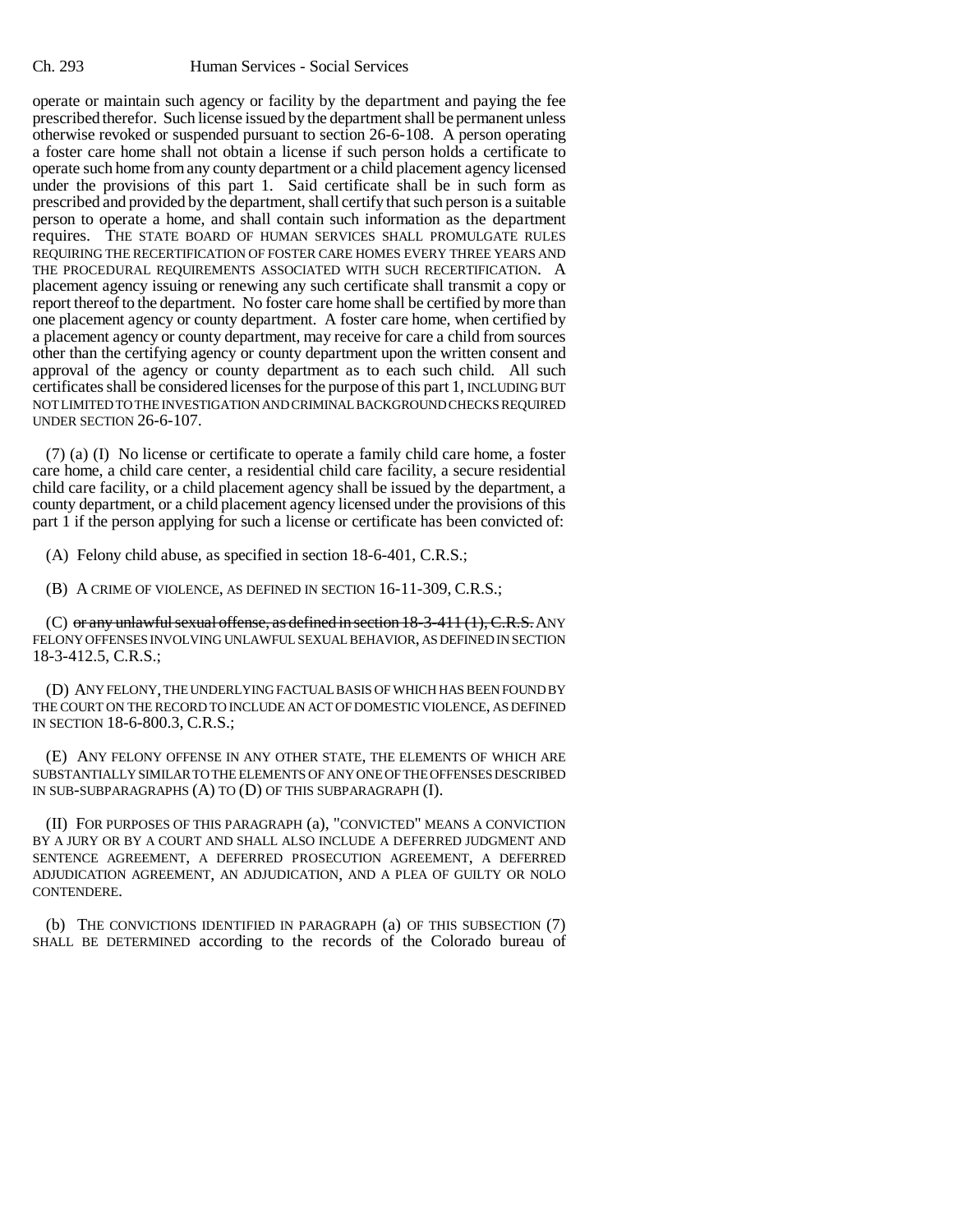operate or maintain such agency or facility by the department and paying the fee prescribed therefor. Such license issued by the department shall be permanent unless otherwise revoked or suspended pursuant to section 26-6-108. A person operating a foster care home shall not obtain a license if such person holds a certificate to operate such home from any county department or a child placement agency licensed under the provisions of this part 1. Said certificate shall be in such form as prescribed and provided by the department, shall certify that such person is a suitable person to operate a home, and shall contain such information as the department requires. THE STATE BOARD OF HUMAN SERVICES SHALL PROMULGATE RULES REQUIRING THE RECERTIFICATION OF FOSTER CARE HOMES EVERY THREE YEARS AND THE PROCEDURAL REQUIREMENTS ASSOCIATED WITH SUCH RECERTIFICATION. A placement agency issuing or renewing any such certificate shall transmit a copy or report thereof to the department. No foster care home shall be certified by more than one placement agency or county department. A foster care home, when certified by a placement agency or county department, may receive for care a child from sources other than the certifying agency or county department upon the written consent and approval of the agency or county department as to each such child. All such certificates shall be considered licenses for the purpose of this part 1, INCLUDING BUT NOT LIMITED TO THE INVESTIGATION AND CRIMINAL BACKGROUND CHECKS REQUIRED UNDER SECTION 26-6-107.

(7) (a) (I) No license or certificate to operate a family child care home, a foster care home, a child care center, a residential child care facility, a secure residential child care facility, or a child placement agency shall be issued by the department, a county department, or a child placement agency licensed under the provisions of this part 1 if the person applying for such a license or certificate has been convicted of:

(A) Felony child abuse, as specified in section 18-6-401, C.R.S.;

(B) A CRIME OF VIOLENCE, AS DEFINED IN SECTION 16-11-309, C.R.S.;

(C) or any unlawful sexual offense, as defined in section  $18-3-411(1)$ , C.R.S. ANY FELONY OFFENSES INVOLVING UNLAWFUL SEXUAL BEHAVIOR, AS DEFINED IN SECTION 18-3-412.5, C.R.S.;

(D) ANY FELONY, THE UNDERLYING FACTUAL BASIS OF WHICH HAS BEEN FOUND BY THE COURT ON THE RECORD TO INCLUDE AN ACT OF DOMESTIC VIOLENCE, AS DEFINED IN SECTION 18-6-800.3, C.R.S.;

(E) ANY FELONY OFFENSE IN ANY OTHER STATE, THE ELEMENTS OF WHICH ARE SUBSTANTIALLY SIMILAR TO THE ELEMENTS OF ANY ONE OF THE OFFENSES DESCRIBED IN SUB-SUBPARAGRAPHS (A) TO (D) OF THIS SUBPARAGRAPH (I).

(II) FOR PURPOSES OF THIS PARAGRAPH (a), "CONVICTED" MEANS A CONVICTION BY A JURY OR BY A COURT AND SHALL ALSO INCLUDE A DEFERRED JUDGMENT AND SENTENCE AGREEMENT, A DEFERRED PROSECUTION AGREEMENT, A DEFERRED ADJUDICATION AGREEMENT, AN ADJUDICATION, AND A PLEA OF GUILTY OR NOLO CONTENDERE.

(b) THE CONVICTIONS IDENTIFIED IN PARAGRAPH (a) OF THIS SUBSECTION (7) SHALL BE DETERMINED according to the records of the Colorado bureau of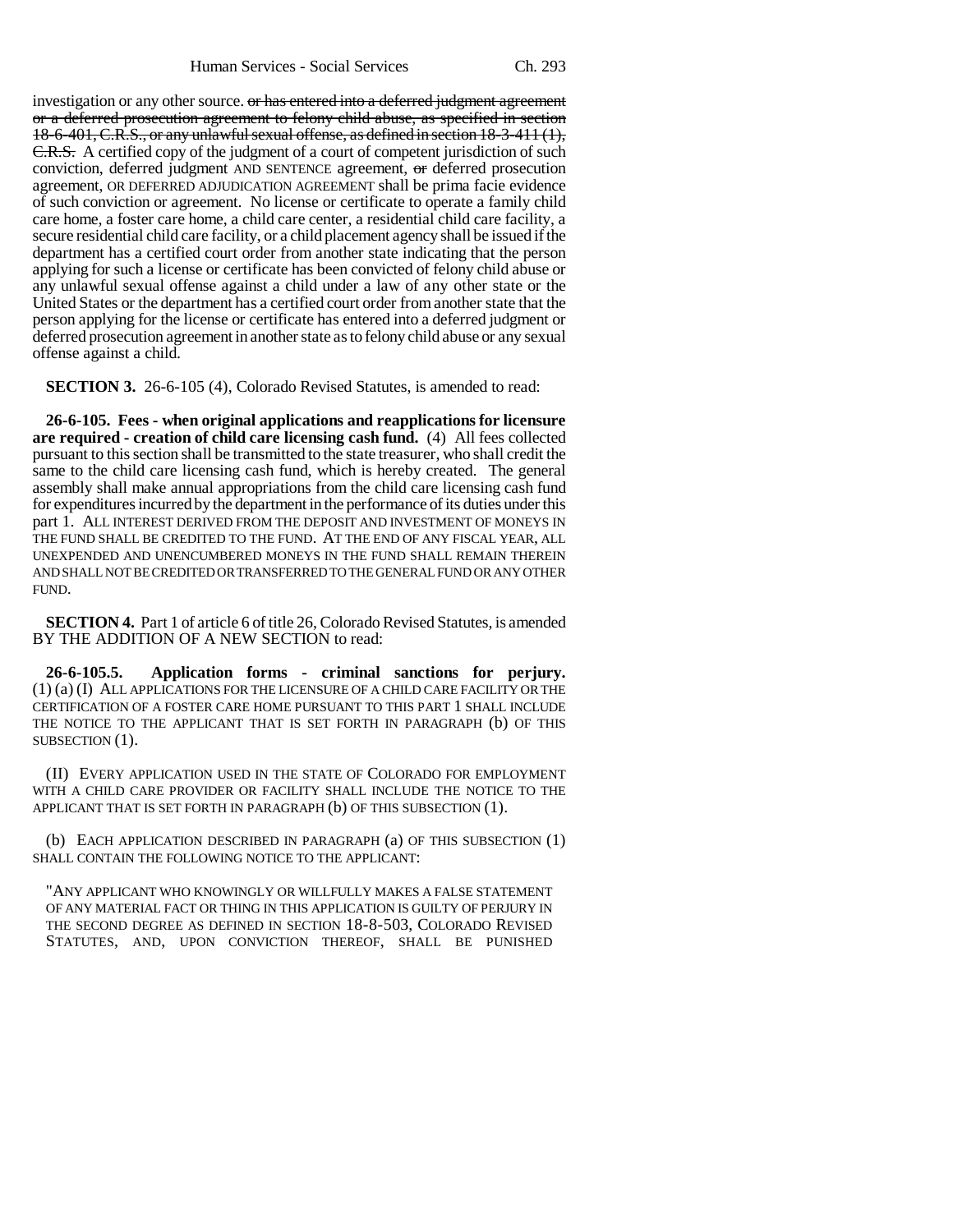investigation or any other source. or has entered into a deferred judgment agreement or a deferred prosecution agreement to felony child abuse, as specified in section 18-6-401, C.R.S., or any unlawful sexual offense, as defined in section 18-3-411 (1), C.R.S. A certified copy of the judgment of a court of competent jurisdiction of such conviction, deferred judgment AND SENTENCE agreement, or deferred prosecution agreement, OR DEFERRED ADJUDICATION AGREEMENT shall be prima facie evidence of such conviction or agreement. No license or certificate to operate a family child care home, a foster care home, a child care center, a residential child care facility, a secure residential child care facility, or a child placement agency shall be issued if the department has a certified court order from another state indicating that the person applying for such a license or certificate has been convicted of felony child abuse or any unlawful sexual offense against a child under a law of any other state or the United States or the department has a certified court order from another state that the person applying for the license or certificate has entered into a deferred judgment or deferred prosecution agreement in another state as to felony child abuse or any sexual offense against a child.

**SECTION 3.** 26-6-105 (4), Colorado Revised Statutes, is amended to read:

**26-6-105. Fees - when original applications and reapplications for licensure are required - creation of child care licensing cash fund.** (4) All fees collected pursuant to this section shall be transmitted to the state treasurer, who shall credit the same to the child care licensing cash fund, which is hereby created. The general assembly shall make annual appropriations from the child care licensing cash fund for expenditures incurred by the department in the performance of its duties under this part 1. ALL INTEREST DERIVED FROM THE DEPOSIT AND INVESTMENT OF MONEYS IN THE FUND SHALL BE CREDITED TO THE FUND. AT THE END OF ANY FISCAL YEAR, ALL UNEXPENDED AND UNENCUMBERED MONEYS IN THE FUND SHALL REMAIN THEREIN AND SHALL NOT BE CREDITED OR TRANSFERRED TO THE GENERAL FUND OR ANY OTHER FUND.

**SECTION 4.** Part 1 of article 6 of title 26, Colorado Revised Statutes, is amended BY THE ADDITION OF A NEW SECTION to read:

**26-6-105.5. Application forms - criminal sanctions for perjury.** (1) (a) (I) ALL APPLICATIONS FOR THE LICENSURE OF A CHILD CARE FACILITY OR THE CERTIFICATION OF A FOSTER CARE HOME PURSUANT TO THIS PART 1 SHALL INCLUDE THE NOTICE TO THE APPLICANT THAT IS SET FORTH IN PARAGRAPH (b) OF THIS SUBSECTION  $(1)$ .

(II) EVERY APPLICATION USED IN THE STATE OF COLORADO FOR EMPLOYMENT WITH A CHILD CARE PROVIDER OR FACILITY SHALL INCLUDE THE NOTICE TO THE APPLICANT THAT IS SET FORTH IN PARAGRAPH (b) OF THIS SUBSECTION (1).

(b) EACH APPLICATION DESCRIBED IN PARAGRAPH (a) OF THIS SUBSECTION (1) SHALL CONTAIN THE FOLLOWING NOTICE TO THE APPLICANT:

"ANY APPLICANT WHO KNOWINGLY OR WILLFULLY MAKES A FALSE STATEMENT OF ANY MATERIAL FACT OR THING IN THIS APPLICATION IS GUILTY OF PERJURY IN THE SECOND DEGREE AS DEFINED IN SECTION 18-8-503, COLORADO REVISED STATUTES, AND, UPON CONVICTION THEREOF, SHALL BE PUNISHED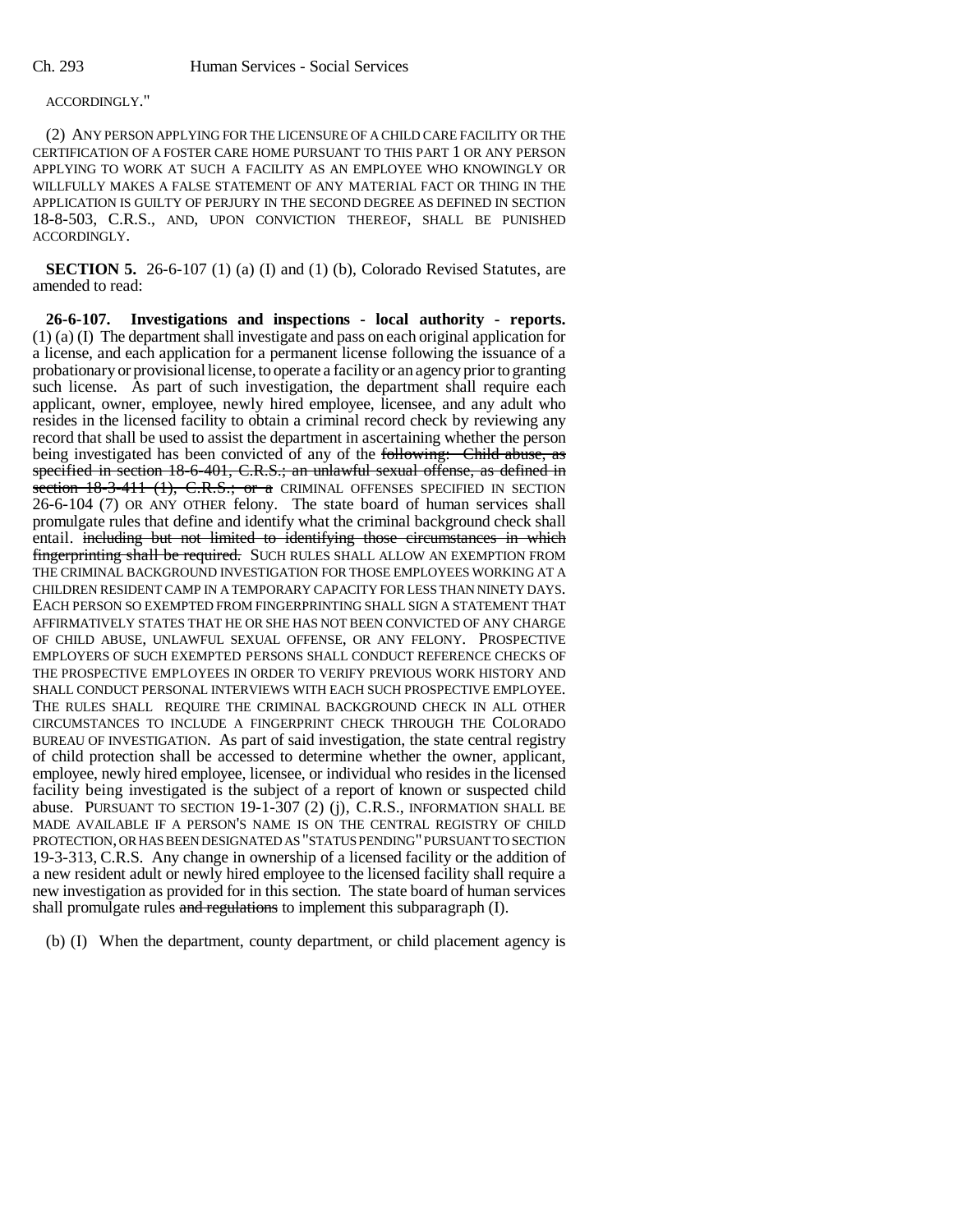## ACCORDINGLY."

(2) ANY PERSON APPLYING FOR THE LICENSURE OF A CHILD CARE FACILITY OR THE CERTIFICATION OF A FOSTER CARE HOME PURSUANT TO THIS PART 1 OR ANY PERSON APPLYING TO WORK AT SUCH A FACILITY AS AN EMPLOYEE WHO KNOWINGLY OR WILLFULLY MAKES A FALSE STATEMENT OF ANY MATERIAL FACT OR THING IN THE APPLICATION IS GUILTY OF PERJURY IN THE SECOND DEGREE AS DEFINED IN SECTION 18-8-503, C.R.S., AND, UPON CONVICTION THEREOF, SHALL BE PUNISHED ACCORDINGLY.

**SECTION 5.** 26-6-107 (1) (a) (I) and (1) (b), Colorado Revised Statutes, are amended to read:

**26-6-107. Investigations and inspections - local authority - reports.** (1) (a) (I) The department shall investigate and pass on each original application for a license, and each application for a permanent license following the issuance of a probationary or provisional license, to operate a facility or an agency prior to granting such license. As part of such investigation, the department shall require each applicant, owner, employee, newly hired employee, licensee, and any adult who resides in the licensed facility to obtain a criminal record check by reviewing any record that shall be used to assist the department in ascertaining whether the person being investigated has been convicted of any of the following: Child abuse, as specified in section 18-6-401, C.R.S.; an unlawful sexual offense, as defined in section 18-3-411 (1), C.R.S.; or a CRIMINAL OFFENSES SPECIFIED IN SECTION 26-6-104 (7) OR ANY OTHER felony. The state board of human services shall promulgate rules that define and identify what the criminal background check shall entail. including but not limited to identifying those circumstances in which fingerprinting shall be required. SUCH RULES SHALL ALLOW AN EXEMPTION FROM THE CRIMINAL BACKGROUND INVESTIGATION FOR THOSE EMPLOYEES WORKING AT A CHILDREN RESIDENT CAMP IN A TEMPORARY CAPACITY FOR LESS THAN NINETY DAYS. EACH PERSON SO EXEMPTED FROM FINGERPRINTING SHALL SIGN A STATEMENT THAT AFFIRMATIVELY STATES THAT HE OR SHE HAS NOT BEEN CONVICTED OF ANY CHARGE OF CHILD ABUSE, UNLAWFUL SEXUAL OFFENSE, OR ANY FELONY. PROSPECTIVE EMPLOYERS OF SUCH EXEMPTED PERSONS SHALL CONDUCT REFERENCE CHECKS OF THE PROSPECTIVE EMPLOYEES IN ORDER TO VERIFY PREVIOUS WORK HISTORY AND SHALL CONDUCT PERSONAL INTERVIEWS WITH EACH SUCH PROSPECTIVE EMPLOYEE. THE RULES SHALL REQUIRE THE CRIMINAL BACKGROUND CHECK IN ALL OTHER CIRCUMSTANCES TO INCLUDE A FINGERPRINT CHECK THROUGH THE COLORADO BUREAU OF INVESTIGATION. As part of said investigation, the state central registry of child protection shall be accessed to determine whether the owner, applicant, employee, newly hired employee, licensee, or individual who resides in the licensed facility being investigated is the subject of a report of known or suspected child abuse. PURSUANT TO SECTION 19-1-307 (2) (j), C.R.S., INFORMATION SHALL BE MADE AVAILABLE IF A PERSON'S NAME IS ON THE CENTRAL REGISTRY OF CHILD PROTECTION, OR HAS BEEN DESIGNATED AS "STATUS PENDING" PURSUANT TO SECTION 19-3-313, C.R.S. Any change in ownership of a licensed facility or the addition of a new resident adult or newly hired employee to the licensed facility shall require a new investigation as provided for in this section. The state board of human services shall promulgate rules and regulations to implement this subparagraph (I).

(b) (I) When the department, county department, or child placement agency is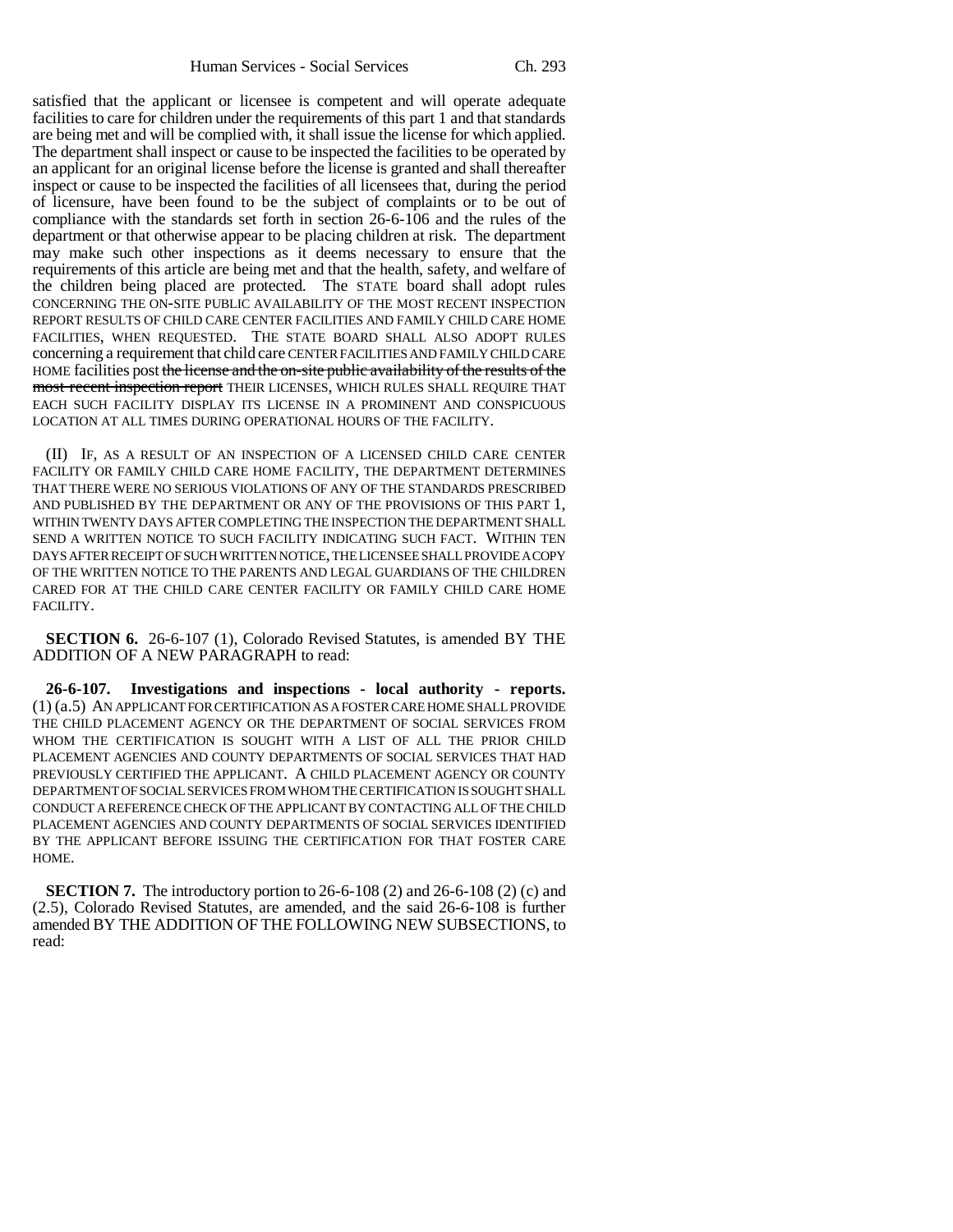satisfied that the applicant or licensee is competent and will operate adequate facilities to care for children under the requirements of this part 1 and that standards are being met and will be complied with, it shall issue the license for which applied. The department shall inspect or cause to be inspected the facilities to be operated by an applicant for an original license before the license is granted and shall thereafter inspect or cause to be inspected the facilities of all licensees that, during the period of licensure, have been found to be the subject of complaints or to be out of compliance with the standards set forth in section 26-6-106 and the rules of the department or that otherwise appear to be placing children at risk. The department may make such other inspections as it deems necessary to ensure that the requirements of this article are being met and that the health, safety, and welfare of the children being placed are protected. The STATE board shall adopt rules CONCERNING THE ON-SITE PUBLIC AVAILABILITY OF THE MOST RECENT INSPECTION REPORT RESULTS OF CHILD CARE CENTER FACILITIES AND FAMILY CHILD CARE HOME FACILITIES, WHEN REQUESTED. THE STATE BOARD SHALL ALSO ADOPT RULES concerning a requirement that child care CENTER FACILITIES AND FAMILY CHILD CARE HOME facilities post the license and the on-site public availability of the results of the most recent inspection report THEIR LICENSES, WHICH RULES SHALL REQUIRE THAT EACH SUCH FACILITY DISPLAY ITS LICENSE IN A PROMINENT AND CONSPICUOUS LOCATION AT ALL TIMES DURING OPERATIONAL HOURS OF THE FACILITY.

(II) IF, AS A RESULT OF AN INSPECTION OF A LICENSED CHILD CARE CENTER FACILITY OR FAMILY CHILD CARE HOME FACILITY, THE DEPARTMENT DETERMINES THAT THERE WERE NO SERIOUS VIOLATIONS OF ANY OF THE STANDARDS PRESCRIBED AND PUBLISHED BY THE DEPARTMENT OR ANY OF THE PROVISIONS OF THIS PART 1, WITHIN TWENTY DAYS AFTER COMPLETING THE INSPECTION THE DEPARTMENT SHALL SEND A WRITTEN NOTICE TO SUCH FACILITY INDICATING SUCH FACT. WITHIN TEN DAYS AFTER RECEIPT OF SUCH WRITTEN NOTICE, THE LICENSEE SHALL PROVIDE A COPY OF THE WRITTEN NOTICE TO THE PARENTS AND LEGAL GUARDIANS OF THE CHILDREN CARED FOR AT THE CHILD CARE CENTER FACILITY OR FAMILY CHILD CARE HOME FACILITY.

**SECTION 6.** 26-6-107 (1), Colorado Revised Statutes, is amended BY THE ADDITION OF A NEW PARAGRAPH to read:

**26-6-107. Investigations and inspections - local authority - reports.** (1) (a.5) AN APPLICANT FOR CERTIFICATION AS A FOSTER CARE HOME SHALL PROVIDE THE CHILD PLACEMENT AGENCY OR THE DEPARTMENT OF SOCIAL SERVICES FROM WHOM THE CERTIFICATION IS SOUGHT WITH A LIST OF ALL THE PRIOR CHILD PLACEMENT AGENCIES AND COUNTY DEPARTMENTS OF SOCIAL SERVICES THAT HAD PREVIOUSLY CERTIFIED THE APPLICANT. A CHILD PLACEMENT AGENCY OR COUNTY DEPARTMENT OF SOCIAL SERVICES FROM WHOM THE CERTIFICATION IS SOUGHT SHALL CONDUCT A REFERENCE CHECK OF THE APPLICANT BY CONTACTING ALL OF THE CHILD PLACEMENT AGENCIES AND COUNTY DEPARTMENTS OF SOCIAL SERVICES IDENTIFIED BY THE APPLICANT BEFORE ISSUING THE CERTIFICATION FOR THAT FOSTER CARE HOME.

**SECTION 7.** The introductory portion to 26-6-108 (2) and 26-6-108 (2) (c) and (2.5), Colorado Revised Statutes, are amended, and the said 26-6-108 is further amended BY THE ADDITION OF THE FOLLOWING NEW SUBSECTIONS, to read: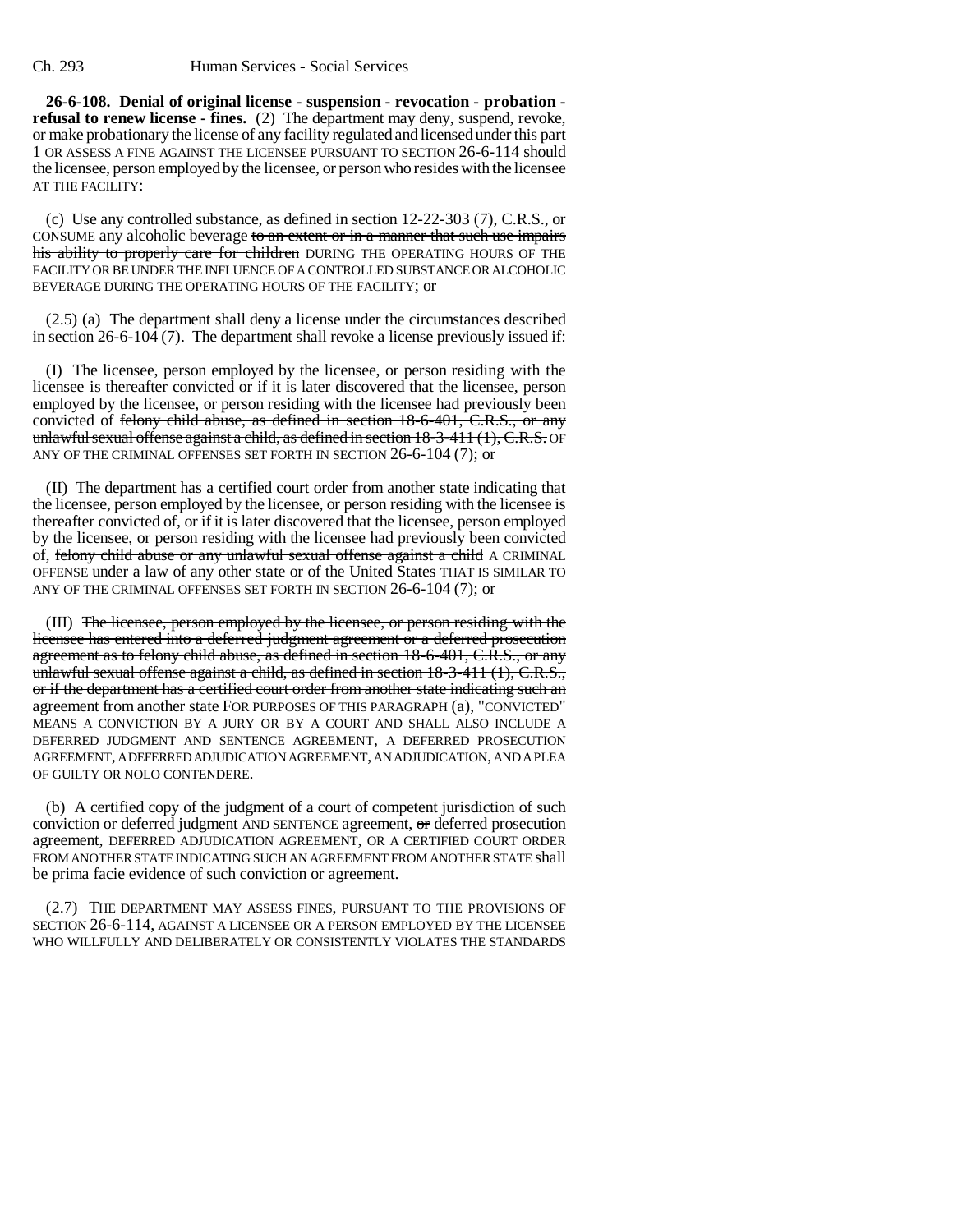**26-6-108. Denial of original license - suspension - revocation - probation refusal to renew license - fines.** (2) The department may deny, suspend, revoke, or make probationary the license of any facility regulated and licensed under this part 1 OR ASSESS A FINE AGAINST THE LICENSEE PURSUANT TO SECTION 26-6-114 should the licensee, person employed by the licensee, or person who resides with the licensee AT THE FACILITY:

(c) Use any controlled substance, as defined in section 12-22-303 (7), C.R.S., or CONSUME any alcoholic beverage to an extent or in a manner that such use impairs his ability to properly care for children DURING THE OPERATING HOURS OF THE FACILITY OR BE UNDER THE INFLUENCE OF A CONTROLLED SUBSTANCE OR ALCOHOLIC BEVERAGE DURING THE OPERATING HOURS OF THE FACILITY; or

(2.5) (a) The department shall deny a license under the circumstances described in section 26-6-104 (7). The department shall revoke a license previously issued if:

(I) The licensee, person employed by the licensee, or person residing with the licensee is thereafter convicted or if it is later discovered that the licensee, person employed by the licensee, or person residing with the licensee had previously been convicted of felony child abuse, as defined in section 18-6-401, C.R.S., or any unlawful sexual offense against a child, as defined in section 18-3-411 (1), C.R.S. OF ANY OF THE CRIMINAL OFFENSES SET FORTH IN SECTION 26-6-104 (7); or

(II) The department has a certified court order from another state indicating that the licensee, person employed by the licensee, or person residing with the licensee is thereafter convicted of, or if it is later discovered that the licensee, person employed by the licensee, or person residing with the licensee had previously been convicted of, felony child abuse or any unlawful sexual offense against a child A CRIMINAL OFFENSE under a law of any other state or of the United States THAT IS SIMILAR TO ANY OF THE CRIMINAL OFFENSES SET FORTH IN SECTION 26-6-104 (7); or

(III) The licensee, person employed by the licensee, or person residing with the licensee has entered into a deferred judgment agreement or a deferred prosecution agreement as to felony child abuse, as defined in section 18-6-401, C.R.S., or any unlawful sexual offense against a child, as defined in section 18-3-411 (1), C.R.S., or if the department has a certified court order from another state indicating such an agreement from another state FOR PURPOSES OF THIS PARAGRAPH (a), "CONVICTED" MEANS A CONVICTION BY A JURY OR BY A COURT AND SHALL ALSO INCLUDE A DEFERRED JUDGMENT AND SENTENCE AGREEMENT, A DEFERRED PROSECUTION AGREEMENT, A DEFERRED ADJUDICATION AGREEMENT, AN ADJUDICATION, AND A PLEA OF GUILTY OR NOLO CONTENDERE.

(b) A certified copy of the judgment of a court of competent jurisdiction of such conviction or deferred judgment AND SENTENCE agreement, or deferred prosecution agreement, DEFERRED ADJUDICATION AGREEMENT, OR A CERTIFIED COURT ORDER FROM ANOTHER STATE INDICATING SUCH AN AGREEMENT FROM ANOTHER STATE shall be prima facie evidence of such conviction or agreement.

(2.7) THE DEPARTMENT MAY ASSESS FINES, PURSUANT TO THE PROVISIONS OF SECTION 26-6-114, AGAINST A LICENSEE OR A PERSON EMPLOYED BY THE LICENSEE WHO WILLFULLY AND DELIBERATELY OR CONSISTENTLY VIOLATES THE STANDARDS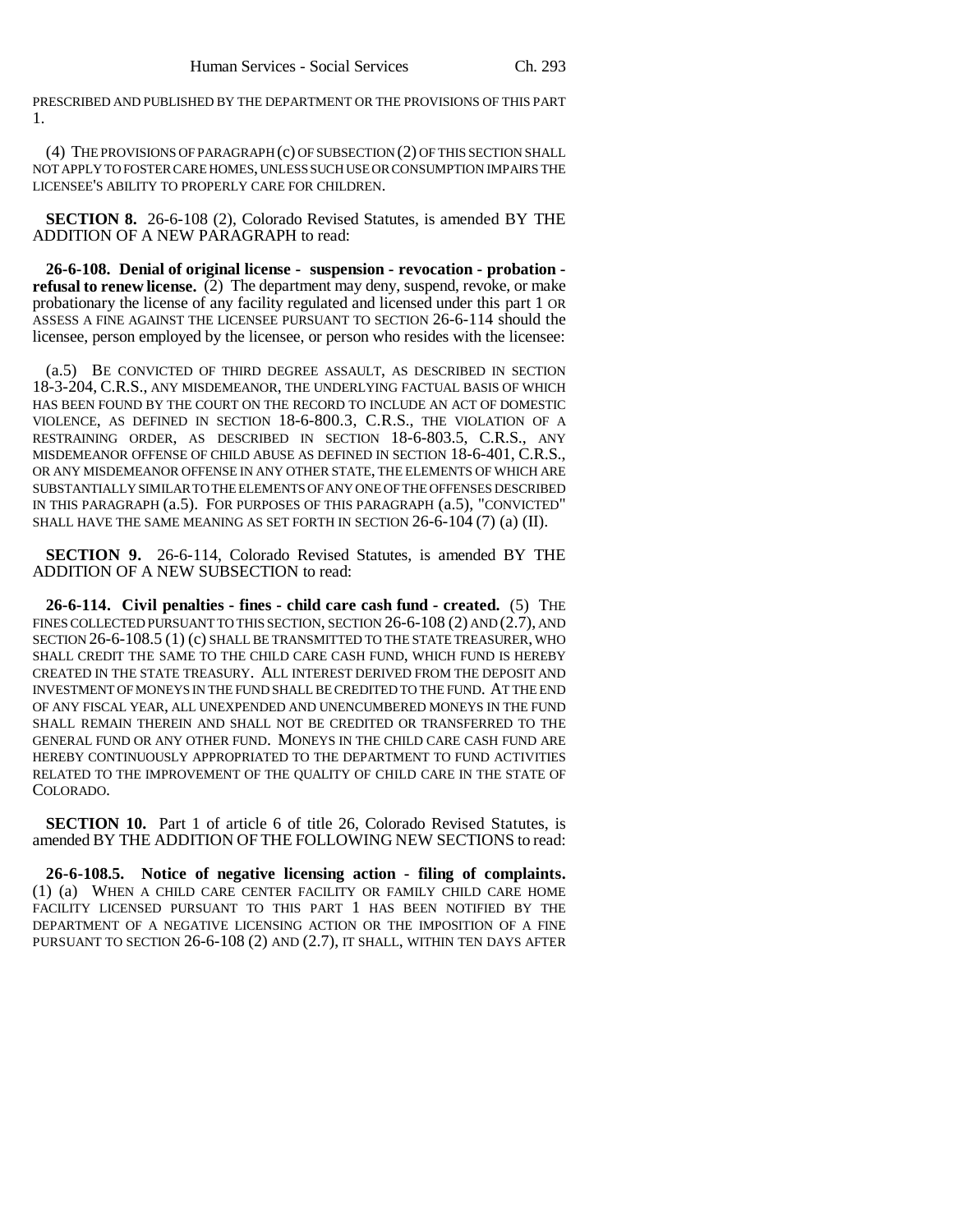PRESCRIBED AND PUBLISHED BY THE DEPARTMENT OR THE PROVISIONS OF THIS PART 1.

(4) THE PROVISIONS OF PARAGRAPH (c) OF SUBSECTION (2) OF THIS SECTION SHALL NOT APPLY TO FOSTER CARE HOMES, UNLESS SUCH USE OR CONSUMPTION IMPAIRS THE LICENSEE'S ABILITY TO PROPERLY CARE FOR CHILDREN.

**SECTION 8.** 26-6-108 (2), Colorado Revised Statutes, is amended BY THE ADDITION OF A NEW PARAGRAPH to read:

**26-6-108. Denial of original license - suspension - revocation - probation refusal to renew license.** (2) The department may deny, suspend, revoke, or make probationary the license of any facility regulated and licensed under this part 1 OR ASSESS A FINE AGAINST THE LICENSEE PURSUANT TO SECTION 26-6-114 should the licensee, person employed by the licensee, or person who resides with the licensee:

(a.5) BE CONVICTED OF THIRD DEGREE ASSAULT, AS DESCRIBED IN SECTION 18-3-204, C.R.S., ANY MISDEMEANOR, THE UNDERLYING FACTUAL BASIS OF WHICH HAS BEEN FOUND BY THE COURT ON THE RECORD TO INCLUDE AN ACT OF DOMESTIC VIOLENCE, AS DEFINED IN SECTION 18-6-800.3, C.R.S., THE VIOLATION OF A RESTRAINING ORDER, AS DESCRIBED IN SECTION 18-6-803.5, C.R.S., ANY MISDEMEANOR OFFENSE OF CHILD ABUSE AS DEFINED IN SECTION 18-6-401, C.R.S., OR ANY MISDEMEANOR OFFENSE IN ANY OTHER STATE, THE ELEMENTS OF WHICH ARE SUBSTANTIALLY SIMILAR TO THE ELEMENTS OF ANY ONE OF THE OFFENSES DESCRIBED IN THIS PARAGRAPH (a.5). FOR PURPOSES OF THIS PARAGRAPH (a.5), "CONVICTED" SHALL HAVE THE SAME MEANING AS SET FORTH IN SECTION 26-6-104 (7) (a) (II).

**SECTION 9.** 26-6-114, Colorado Revised Statutes, is amended BY THE ADDITION OF A NEW SUBSECTION to read:

**26-6-114. Civil penalties - fines - child care cash fund - created.** (5) THE FINES COLLECTED PURSUANT TO THIS SECTION, SECTION 26-6-108 (2) AND (2.7), AND SECTION 26-6-108.5 (1) (c) SHALL BE TRANSMITTED TO THE STATE TREASURER, WHO SHALL CREDIT THE SAME TO THE CHILD CARE CASH FUND, WHICH FUND IS HEREBY CREATED IN THE STATE TREASURY. ALL INTEREST DERIVED FROM THE DEPOSIT AND INVESTMENT OF MONEYS IN THE FUND SHALL BE CREDITED TO THE FUND. AT THE END OF ANY FISCAL YEAR, ALL UNEXPENDED AND UNENCUMBERED MONEYS IN THE FUND SHALL REMAIN THEREIN AND SHALL NOT BE CREDITED OR TRANSFERRED TO THE GENERAL FUND OR ANY OTHER FUND. MONEYS IN THE CHILD CARE CASH FUND ARE HEREBY CONTINUOUSLY APPROPRIATED TO THE DEPARTMENT TO FUND ACTIVITIES RELATED TO THE IMPROVEMENT OF THE QUALITY OF CHILD CARE IN THE STATE OF COLORADO.

**SECTION 10.** Part 1 of article 6 of title 26, Colorado Revised Statutes, is amended BY THE ADDITION OF THE FOLLOWING NEW SECTIONS to read:

**26-6-108.5. Notice of negative licensing action - filing of complaints.** (1) (a) WHEN A CHILD CARE CENTER FACILITY OR FAMILY CHILD CARE HOME FACILITY LICENSED PURSUANT TO THIS PART 1 HAS BEEN NOTIFIED BY THE DEPARTMENT OF A NEGATIVE LICENSING ACTION OR THE IMPOSITION OF A FINE PURSUANT TO SECTION 26-6-108 (2) AND (2.7), IT SHALL, WITHIN TEN DAYS AFTER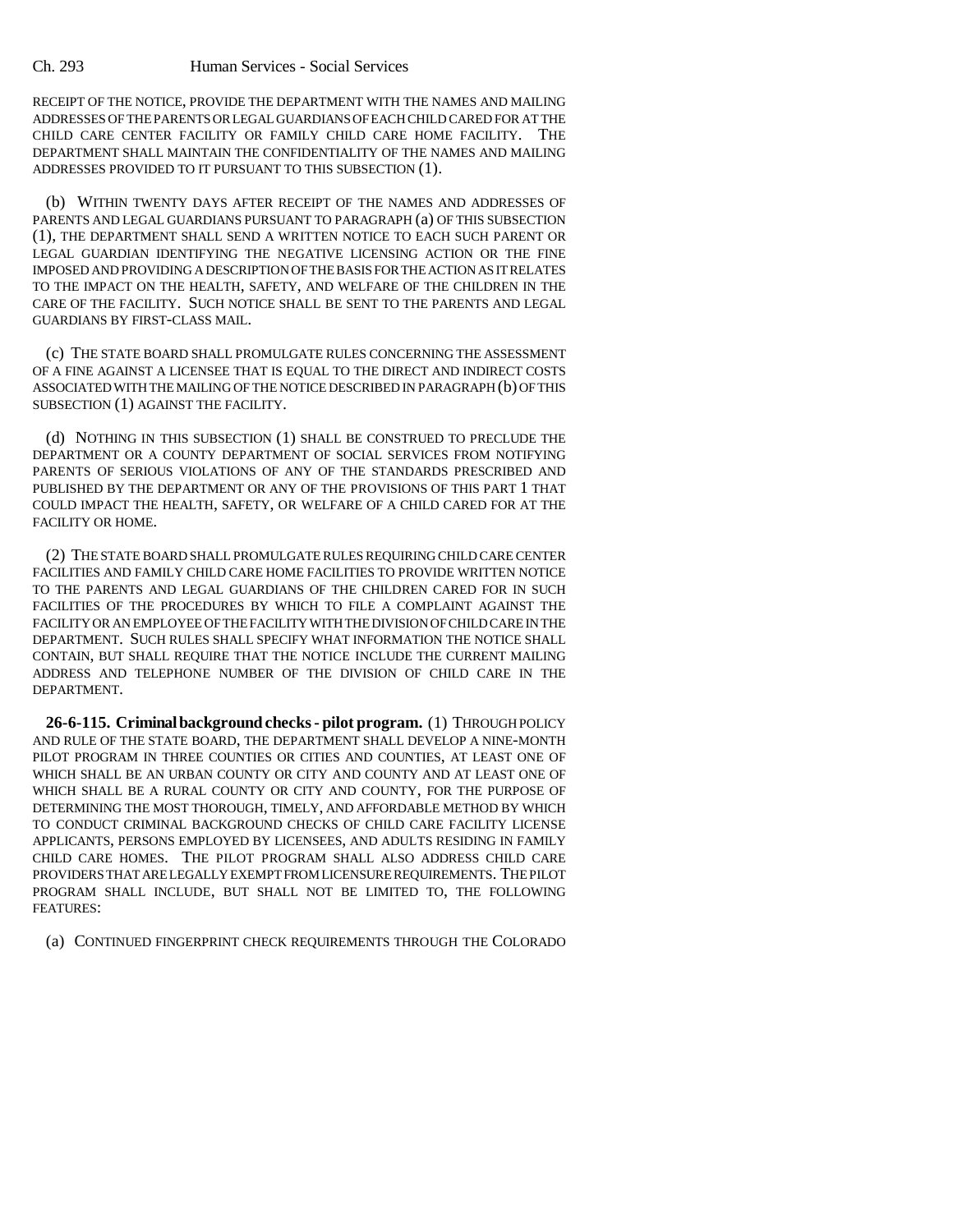RECEIPT OF THE NOTICE, PROVIDE THE DEPARTMENT WITH THE NAMES AND MAILING ADDRESSES OF THE PARENTS OR LEGAL GUARDIANS OF EACH CHILD CARED FOR AT THE CHILD CARE CENTER FACILITY OR FAMILY CHILD CARE HOME FACILITY. THE DEPARTMENT SHALL MAINTAIN THE CONFIDENTIALITY OF THE NAMES AND MAILING ADDRESSES PROVIDED TO IT PURSUANT TO THIS SUBSECTION (1).

(b) WITHIN TWENTY DAYS AFTER RECEIPT OF THE NAMES AND ADDRESSES OF PARENTS AND LEGAL GUARDIANS PURSUANT TO PARAGRAPH (a) OF THIS SUBSECTION (1), THE DEPARTMENT SHALL SEND A WRITTEN NOTICE TO EACH SUCH PARENT OR LEGAL GUARDIAN IDENTIFYING THE NEGATIVE LICENSING ACTION OR THE FINE IMPOSED AND PROVIDING A DESCRIPTION OF THE BASIS FOR THE ACTION AS IT RELATES TO THE IMPACT ON THE HEALTH, SAFETY, AND WELFARE OF THE CHILDREN IN THE CARE OF THE FACILITY. SUCH NOTICE SHALL BE SENT TO THE PARENTS AND LEGAL GUARDIANS BY FIRST-CLASS MAIL.

(c) THE STATE BOARD SHALL PROMULGATE RULES CONCERNING THE ASSESSMENT OF A FINE AGAINST A LICENSEE THAT IS EQUAL TO THE DIRECT AND INDIRECT COSTS ASSOCIATED WITH THE MAILING OF THE NOTICE DESCRIBED IN PARAGRAPH (b) OF THIS SUBSECTION (1) AGAINST THE FACILITY.

(d) NOTHING IN THIS SUBSECTION (1) SHALL BE CONSTRUED TO PRECLUDE THE DEPARTMENT OR A COUNTY DEPARTMENT OF SOCIAL SERVICES FROM NOTIFYING PARENTS OF SERIOUS VIOLATIONS OF ANY OF THE STANDARDS PRESCRIBED AND PUBLISHED BY THE DEPARTMENT OR ANY OF THE PROVISIONS OF THIS PART 1 THAT COULD IMPACT THE HEALTH, SAFETY, OR WELFARE OF A CHILD CARED FOR AT THE FACILITY OR HOME.

(2) THE STATE BOARD SHALL PROMULGATE RULES REQUIRING CHILD CARE CENTER FACILITIES AND FAMILY CHILD CARE HOME FACILITIES TO PROVIDE WRITTEN NOTICE TO THE PARENTS AND LEGAL GUARDIANS OF THE CHILDREN CARED FOR IN SUCH FACILITIES OF THE PROCEDURES BY WHICH TO FILE A COMPLAINT AGAINST THE FACILITY OR AN EMPLOYEE OF THE FACILITY WITH THE DIVISION OF CHILD CARE IN THE DEPARTMENT. SUCH RULES SHALL SPECIFY WHAT INFORMATION THE NOTICE SHALL CONTAIN, BUT SHALL REQUIRE THAT THE NOTICE INCLUDE THE CURRENT MAILING ADDRESS AND TELEPHONE NUMBER OF THE DIVISION OF CHILD CARE IN THE DEPARTMENT.

**26-6-115. Criminal background checks - pilot program.** (1) THROUGH POLICY AND RULE OF THE STATE BOARD, THE DEPARTMENT SHALL DEVELOP A NINE-MONTH PILOT PROGRAM IN THREE COUNTIES OR CITIES AND COUNTIES, AT LEAST ONE OF WHICH SHALL BE AN URBAN COUNTY OR CITY AND COUNTY AND AT LEAST ONE OF WHICH SHALL BE A RURAL COUNTY OR CITY AND COUNTY, FOR THE PURPOSE OF DETERMINING THE MOST THOROUGH, TIMELY, AND AFFORDABLE METHOD BY WHICH TO CONDUCT CRIMINAL BACKGROUND CHECKS OF CHILD CARE FACILITY LICENSE APPLICANTS, PERSONS EMPLOYED BY LICENSEES, AND ADULTS RESIDING IN FAMILY CHILD CARE HOMES. THE PILOT PROGRAM SHALL ALSO ADDRESS CHILD CARE PROVIDERS THAT ARE LEGALLY EXEMPT FROM LICENSURE REQUIREMENTS. THE PILOT PROGRAM SHALL INCLUDE, BUT SHALL NOT BE LIMITED TO, THE FOLLOWING FEATURES:

(a) CONTINUED FINGERPRINT CHECK REQUIREMENTS THROUGH THE COLORADO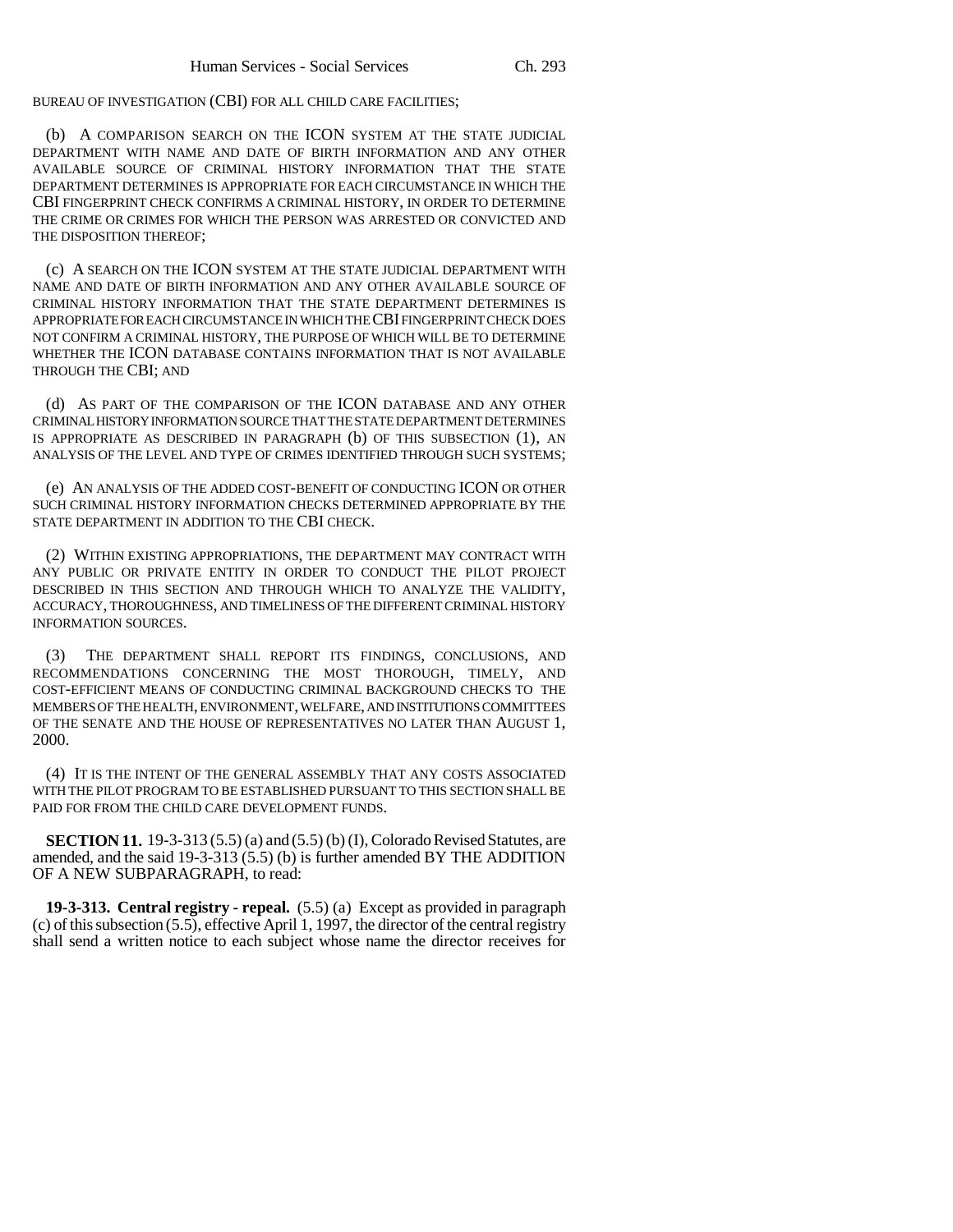BUREAU OF INVESTIGATION (CBI) FOR ALL CHILD CARE FACILITIES;

(b) A COMPARISON SEARCH ON THE ICON SYSTEM AT THE STATE JUDICIAL DEPARTMENT WITH NAME AND DATE OF BIRTH INFORMATION AND ANY OTHER AVAILABLE SOURCE OF CRIMINAL HISTORY INFORMATION THAT THE STATE DEPARTMENT DETERMINES IS APPROPRIATE FOR EACH CIRCUMSTANCE IN WHICH THE CBI FINGERPRINT CHECK CONFIRMS A CRIMINAL HISTORY, IN ORDER TO DETERMINE THE CRIME OR CRIMES FOR WHICH THE PERSON WAS ARRESTED OR CONVICTED AND THE DISPOSITION THEREOF;

(c) A SEARCH ON THE ICON SYSTEM AT THE STATE JUDICIAL DEPARTMENT WITH NAME AND DATE OF BIRTH INFORMATION AND ANY OTHER AVAILABLE SOURCE OF CRIMINAL HISTORY INFORMATION THAT THE STATE DEPARTMENT DETERMINES IS APPROPRIATE FOR EACH CIRCUMSTANCE IN WHICH THE CBI FINGERPRINT CHECK DOES NOT CONFIRM A CRIMINAL HISTORY, THE PURPOSE OF WHICH WILL BE TO DETERMINE WHETHER THE ICON DATABASE CONTAINS INFORMATION THAT IS NOT AVAILABLE THROUGH THE CBI; AND

(d) AS PART OF THE COMPARISON OF THE ICON DATABASE AND ANY OTHER CRIMINAL HISTORY INFORMATION SOURCE THAT THE STATE DEPARTMENT DETERMINES IS APPROPRIATE AS DESCRIBED IN PARAGRAPH (b) OF THIS SUBSECTION (1), AN ANALYSIS OF THE LEVEL AND TYPE OF CRIMES IDENTIFIED THROUGH SUCH SYSTEMS;

(e) AN ANALYSIS OF THE ADDED COST-BENEFIT OF CONDUCTING ICON OR OTHER SUCH CRIMINAL HISTORY INFORMATION CHECKS DETERMINED APPROPRIATE BY THE STATE DEPARTMENT IN ADDITION TO THE CBI CHECK.

(2) WITHIN EXISTING APPROPRIATIONS, THE DEPARTMENT MAY CONTRACT WITH ANY PUBLIC OR PRIVATE ENTITY IN ORDER TO CONDUCT THE PILOT PROJECT DESCRIBED IN THIS SECTION AND THROUGH WHICH TO ANALYZE THE VALIDITY, ACCURACY, THOROUGHNESS, AND TIMELINESS OF THE DIFFERENT CRIMINAL HISTORY INFORMATION SOURCES.

(3) THE DEPARTMENT SHALL REPORT ITS FINDINGS, CONCLUSIONS, AND RECOMMENDATIONS CONCERNING THE MOST THOROUGH, TIMELY, AND COST-EFFICIENT MEANS OF CONDUCTING CRIMINAL BACKGROUND CHECKS TO THE MEMBERS OF THE HEALTH, ENVIRONMENT, WELFARE, AND INSTITUTIONS COMMITTEES OF THE SENATE AND THE HOUSE OF REPRESENTATIVES NO LATER THAN AUGUST 1, 2000.

(4) IT IS THE INTENT OF THE GENERAL ASSEMBLY THAT ANY COSTS ASSOCIATED WITH THE PILOT PROGRAM TO BE ESTABLISHED PURSUANT TO THIS SECTION SHALL BE PAID FOR FROM THE CHILD CARE DEVELOPMENT FUNDS.

**SECTION 11.** 19-3-313 (5.5) (a) and (5.5) (b) (I), Colorado Revised Statutes, are amended, and the said 19-3-313 (5.5) (b) is further amended BY THE ADDITION OF A NEW SUBPARAGRAPH, to read:

**19-3-313. Central registry - repeal.** (5.5) (a) Except as provided in paragraph (c) of this subsection (5.5), effective April 1, 1997, the director of the central registry shall send a written notice to each subject whose name the director receives for